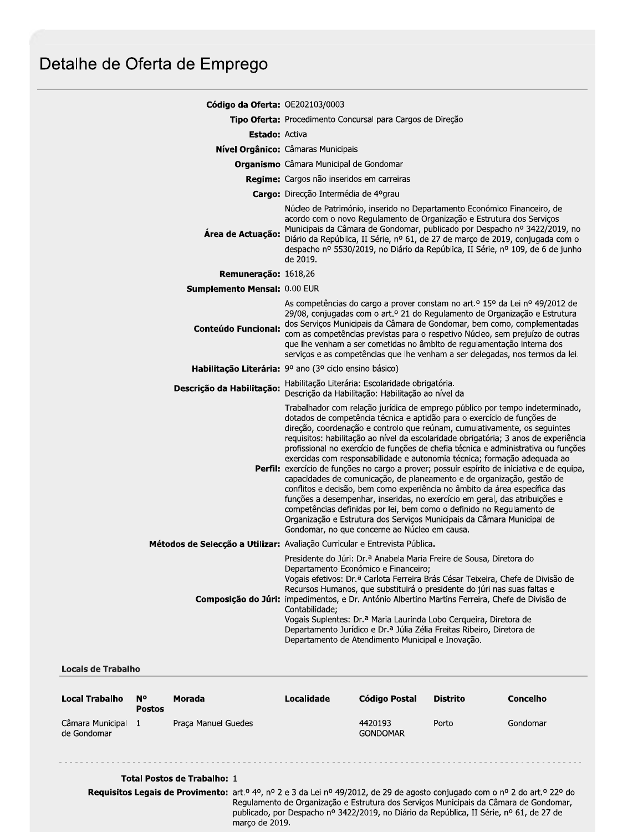# Detalhe de Oferta de Emprego

| Código da Oferta: OE202103/0003                                                                                                                                                                                                                                                                                                                                                                                                                                                                                                                                                                                                                                                                                                                                                                                                                                                                                                                                                                                                        |
|----------------------------------------------------------------------------------------------------------------------------------------------------------------------------------------------------------------------------------------------------------------------------------------------------------------------------------------------------------------------------------------------------------------------------------------------------------------------------------------------------------------------------------------------------------------------------------------------------------------------------------------------------------------------------------------------------------------------------------------------------------------------------------------------------------------------------------------------------------------------------------------------------------------------------------------------------------------------------------------------------------------------------------------|
| Tipo Oferta: Procedimento Concursal para Cargos de Direção                                                                                                                                                                                                                                                                                                                                                                                                                                                                                                                                                                                                                                                                                                                                                                                                                                                                                                                                                                             |
| <b>Estado: Activa</b>                                                                                                                                                                                                                                                                                                                                                                                                                                                                                                                                                                                                                                                                                                                                                                                                                                                                                                                                                                                                                  |
| Nível Orgânico: Câmaras Municipais                                                                                                                                                                                                                                                                                                                                                                                                                                                                                                                                                                                                                                                                                                                                                                                                                                                                                                                                                                                                     |
| Organismo Câmara Municipal de Gondomar                                                                                                                                                                                                                                                                                                                                                                                                                                                                                                                                                                                                                                                                                                                                                                                                                                                                                                                                                                                                 |
| Regime: Cargos não inseridos em carreiras                                                                                                                                                                                                                                                                                                                                                                                                                                                                                                                                                                                                                                                                                                                                                                                                                                                                                                                                                                                              |
| <b>Cargo:</b> Direcção Intermédia de 4ºgrau                                                                                                                                                                                                                                                                                                                                                                                                                                                                                                                                                                                                                                                                                                                                                                                                                                                                                                                                                                                            |
| Núcleo de Património, inserido no Departamento Económico Financeiro, de<br>acordo com o novo Regulamento de Organização e Estrutura dos Serviços<br>Municipais da Câmara de Gondomar, publicado por Despacho nº 3422/2019, no<br>Área de Actuação:<br>Diário da República, II Série, nº 61, de 27 de março de 2019, conjugada com o<br>despacho nº 5530/2019, no Diário da República, II Série, nº 109, de 6 de junho<br>de 2019.                                                                                                                                                                                                                                                                                                                                                                                                                                                                                                                                                                                                      |
| Remuneração: 1618,26                                                                                                                                                                                                                                                                                                                                                                                                                                                                                                                                                                                                                                                                                                                                                                                                                                                                                                                                                                                                                   |
| Sumplemento Mensal: 0.00 EUR                                                                                                                                                                                                                                                                                                                                                                                                                                                                                                                                                                                                                                                                                                                                                                                                                                                                                                                                                                                                           |
| As competências do cargo a prover constam no art.º 15º da Lei nº 49/2012 de<br>29/08, conjugadas com o art.º 21 do Regulamento de Organização e Estrutura<br>dos Serviços Municipais da Câmara de Gondomar, bem como, complementadas<br><b>Conteúdo Funcional:</b><br>com as competências previstas para o respetivo Núcleo, sem prejuízo de outras<br>que lhe venham a ser cometidas no âmbito de regulamentação interna dos<br>serviços e as competências que lhe venham a ser delegadas, nos termos da lei.                                                                                                                                                                                                                                                                                                                                                                                                                                                                                                                         |
| Habilitação Literária: 9º ano (3º ciclo ensino básico)                                                                                                                                                                                                                                                                                                                                                                                                                                                                                                                                                                                                                                                                                                                                                                                                                                                                                                                                                                                 |
| Habilitação Literária: Escolaridade obrigatória.<br>Descrição da Habilitação:<br>Descrição da Habilitação: Habilitação ao nível da                                                                                                                                                                                                                                                                                                                                                                                                                                                                                                                                                                                                                                                                                                                                                                                                                                                                                                     |
| Trabalhador com relação jurídica de emprego público por tempo indeterminado,<br>dotados de competência técnica e aptidão para o exercício de funções de<br>direção, coordenação e controlo que reúnam, cumulativamente, os seguintes<br>requisitos: habilitação ao nível da escolaridade obrigatória; 3 anos de experiência<br>profissional no exercício de funções de chefia técnica e administrativa ou funções<br>exercidas com responsabilidade e autonomia técnica; formação adequada ao<br>Perfil: exercício de funções no cargo a prover; possuir espírito de iniciativa e de equipa,<br>capacidades de comunicação, de planeamento e de organização, gestão de<br>conflitos e decisão, bem como experiência no âmbito da área específica das<br>funções a desempenhar, inseridas, no exercício em geral, das atribuições e<br>competências definidas por lei, bem como o definido no Regulamento de<br>Organização e Estrutura dos Serviços Municipais da Câmara Municipal de<br>Gondomar, no que concerne ao Núcleo em causa. |
| Métodos de Selecção a Utilizar: Avaliação Curricular e Entrevista Pública.                                                                                                                                                                                                                                                                                                                                                                                                                                                                                                                                                                                                                                                                                                                                                                                                                                                                                                                                                             |
| Presidente do Júri: Dr.ª Anabela Maria Freire de Sousa, Diretora do<br>Departamento Económico e Financeiro;<br>Vogais efetivos: Dr.ª Carlota Ferreira Brás César Teixeira, Chefe de Divisão de<br>Recursos Humanos, que substituirá o presidente do júri nas suas faltas e<br>Composição do Júri: impedimentos, e Dr. António Albertino Martins Ferreira, Chefe de Divisão de<br>Contabilidade;<br>Vogais Suplentes: Dr.ª Maria Laurinda Lobo Cerqueira, Diretora de<br>Departamento Jurídico e Dr.ª Júlia Zélia Freitas Ribeiro, Diretora de<br>Departamento de Atendimento Municipal e Inovação.                                                                                                                                                                                                                                                                                                                                                                                                                                     |
|                                                                                                                                                                                                                                                                                                                                                                                                                                                                                                                                                                                                                                                                                                                                                                                                                                                                                                                                                                                                                                        |

#### **Locais de Trabalho**

| <b>Local Trabalho</b>           | N°<br><b>Postos</b> | Morada              | Localidade | Código Postal              | <b>Distrito</b> | Concelho |
|---------------------------------|---------------------|---------------------|------------|----------------------------|-----------------|----------|
| Câmara Municipal<br>de Gondomar |                     | Praca Manuel Guedes |            | 4420193<br><b>GONDOMAR</b> | Porto           | Gondomar |

## Total Postos de Trabalho: 1

Requisitos Legais de Provimento: art.º 4º, nº 2 e 3 da Lei nº 49/2012, de 29 de agosto conjugado com o nº 2 do art.º 22º do Regulamento de Organização e Estrutura dos Serviços Municipais da Câmara de Gondomar, publicado, por Despacho nº 3422/2019, no Diário da República, II Série, nº 61, de 27 de março de 2019.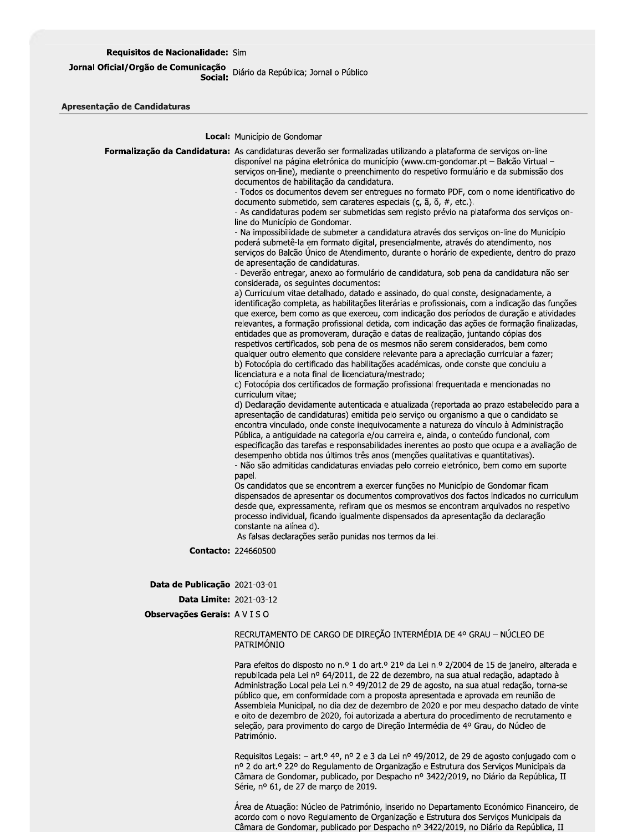## Requisitos de Nacionalidade: Sim

## ucaçao<br>Social: Diário da República; Jornal o Público Jornal Oficial/Orgão de Comunicação

Apresentação de Candidaturas

Local: Município de Gondomar

|                                      | Formalização da Candidatura: As candidaturas deverão ser formalizadas utilizando a plataforma de serviços on-line<br>disponível na página eletrónica do município (www.cm-gondomar.pt – Balcão Virtual –<br>serviços on-line), mediante o preenchimento do respetivo formulário e da submissão dos<br>documentos de habilitação da candidatura.<br>- Todos os documentos devem ser entregues no formato PDF, com o nome identificativo do<br>documento submetido, sem carateres especiais ( $\zeta$ , $\tilde{a}$ , $\tilde{o}$ , $\#$ , etc.).<br>- As candidaturas podem ser submetidas sem registo prévio na plataforma dos serviços on-<br>line do Município de Gondomar.<br>- Na impossibilidade de submeter a candidatura através dos serviços on-line do Município<br>poderá submetê-la em formato digital, presencialmente, através do atendimento, nos<br>serviços do Balcão Unico de Atendimento, durante o horário de expediente, dentro do prazo<br>de apresentação de candidaturas.<br>- Deverão entregar, anexo ao formulário de candidatura, sob pena da candidatura não ser<br>considerada, os seguintes documentos:<br>a) Curriculum vitae detalhado, datado e assinado, do qual conste, designadamente, a<br>identificação completa, as habilitações literárias e profissionais, com a indicação das funções<br>que exerce, bem como as que exerceu, com indicação dos períodos de duração e atividades<br>relevantes, a formação profissional detida, com indicação das ações de formação finalizadas,<br>entidades que as promoveram, duração e datas de realização, juntando cópias dos<br>respetivos certificados, sob pena de os mesmos não serem considerados, bem como<br>qualquer outro elemento que considere relevante para a apreciação curricular a fazer;<br>b) Fotocópia do certificado das habilitações académicas, onde conste que concluiu a<br>licenciatura e a nota final de licenciatura/mestrado;<br>c) Fotocópia dos certificados de formação profissional frequentada e mencionadas no<br>curriculum vitae;<br>d) Declaração devidamente autenticada e atualizada (reportada ao prazo estabelecido para a<br>apresentação de candidaturas) emitida pelo serviço ou organismo a que o candidato se<br>encontra vinculado, onde conste inequivocamente a natureza do vínculo à Administração<br>Pública, a antiguidade na categoria e/ou carreira e, ainda, o conteúdo funcional, com<br>especificação das tarefas e responsabilidades inerentes ao posto que ocupa e a avaliação de<br>desempenho obtida nos últimos três anos (menções qualitativas e quantitativas).<br>- Não são admitidas candidaturas enviadas pelo correio eletrónico, bem como em suporte<br>papel.<br>Os candidatos que se encontrem a exercer funções no Município de Gondomar ficam<br>dispensados de apresentar os documentos comprovativos dos factos indicados no curriculum<br>desde que, expressamente, refiram que os mesmos se encontram arquivados no respetivo<br>processo individual, ficando igualmente dispensados da apresentação da declaração<br>constante na alínea d).<br>As falsas declarações serão punidas nos termos da lei. |
|--------------------------------------|---------------------------------------------------------------------------------------------------------------------------------------------------------------------------------------------------------------------------------------------------------------------------------------------------------------------------------------------------------------------------------------------------------------------------------------------------------------------------------------------------------------------------------------------------------------------------------------------------------------------------------------------------------------------------------------------------------------------------------------------------------------------------------------------------------------------------------------------------------------------------------------------------------------------------------------------------------------------------------------------------------------------------------------------------------------------------------------------------------------------------------------------------------------------------------------------------------------------------------------------------------------------------------------------------------------------------------------------------------------------------------------------------------------------------------------------------------------------------------------------------------------------------------------------------------------------------------------------------------------------------------------------------------------------------------------------------------------------------------------------------------------------------------------------------------------------------------------------------------------------------------------------------------------------------------------------------------------------------------------------------------------------------------------------------------------------------------------------------------------------------------------------------------------------------------------------------------------------------------------------------------------------------------------------------------------------------------------------------------------------------------------------------------------------------------------------------------------------------------------------------------------------------------------------------------------------------------------------------------------------------------------------------------------------------------------------------------------------------------------------------------------------------------------------------------------------------------------------------------------------------------------------------------------------------------------------------------------------------------------------------------------------------------------------------------------------------------------------------------------------------------------------------------------------|
| <b>Contacto: 224660500</b>           |                                                                                                                                                                                                                                                                                                                                                                                                                                                                                                                                                                                                                                                                                                                                                                                                                                                                                                                                                                                                                                                                                                                                                                                                                                                                                                                                                                                                                                                                                                                                                                                                                                                                                                                                                                                                                                                                                                                                                                                                                                                                                                                                                                                                                                                                                                                                                                                                                                                                                                                                                                                                                                                                                                                                                                                                                                                                                                                                                                                                                                                                                                                                                                     |
| Data de Publicação 2021-03-01        |                                                                                                                                                                                                                                                                                                                                                                                                                                                                                                                                                                                                                                                                                                                                                                                                                                                                                                                                                                                                                                                                                                                                                                                                                                                                                                                                                                                                                                                                                                                                                                                                                                                                                                                                                                                                                                                                                                                                                                                                                                                                                                                                                                                                                                                                                                                                                                                                                                                                                                                                                                                                                                                                                                                                                                                                                                                                                                                                                                                                                                                                                                                                                                     |
| <b>Data Limite: 2021-03-12</b>       |                                                                                                                                                                                                                                                                                                                                                                                                                                                                                                                                                                                                                                                                                                                                                                                                                                                                                                                                                                                                                                                                                                                                                                                                                                                                                                                                                                                                                                                                                                                                                                                                                                                                                                                                                                                                                                                                                                                                                                                                                                                                                                                                                                                                                                                                                                                                                                                                                                                                                                                                                                                                                                                                                                                                                                                                                                                                                                                                                                                                                                                                                                                                                                     |
| <b>Observações Gerais:</b> A V I S O |                                                                                                                                                                                                                                                                                                                                                                                                                                                                                                                                                                                                                                                                                                                                                                                                                                                                                                                                                                                                                                                                                                                                                                                                                                                                                                                                                                                                                                                                                                                                                                                                                                                                                                                                                                                                                                                                                                                                                                                                                                                                                                                                                                                                                                                                                                                                                                                                                                                                                                                                                                                                                                                                                                                                                                                                                                                                                                                                                                                                                                                                                                                                                                     |
|                                      | RECRUTAMENTO DE CARGO DE DIREÇÃO INTERMÉDIA DE 4º GRAU - NÚCLEO DE<br>PATRIMÓNIO                                                                                                                                                                                                                                                                                                                                                                                                                                                                                                                                                                                                                                                                                                                                                                                                                                                                                                                                                                                                                                                                                                                                                                                                                                                                                                                                                                                                                                                                                                                                                                                                                                                                                                                                                                                                                                                                                                                                                                                                                                                                                                                                                                                                                                                                                                                                                                                                                                                                                                                                                                                                                                                                                                                                                                                                                                                                                                                                                                                                                                                                                    |
|                                      | Para efeitos do disposto no n.º 1 do art.º 21º da Lei n.º 2/2004 de 15 de janeiro, alterada e<br>republicada pela Lei nº 64/2011, de 22 de dezembro, na sua atual redação, adaptado à                                                                                                                                                                                                                                                                                                                                                                                                                                                                                                                                                                                                                                                                                                                                                                                                                                                                                                                                                                                                                                                                                                                                                                                                                                                                                                                                                                                                                                                                                                                                                                                                                                                                                                                                                                                                                                                                                                                                                                                                                                                                                                                                                                                                                                                                                                                                                                                                                                                                                                                                                                                                                                                                                                                                                                                                                                                                                                                                                                               |

Administração Local pela Lei n.º 49/2012 de 29 de agosto, na sua atual redação, torna-se público que, em conformidade com a proposta apresentada e aprovada em reunião de Assembleia Municipal, no dia dez de dezembro de 2020 e por meu despacho datado de vinte e oito de dezembro de 2020, foi autorizada a abertura do procedimento de recrutamento e seleção, para provimento do cargo de Direção Intermédia de 4º Grau, do Núcleo de Património.

Requisitos Legais: - art.º 4º, nº 2 e 3 da Lei nº 49/2012, de 29 de agosto conjugado com o nº 2 do art.º 22º do Regulamento de Organização e Estrutura dos Serviços Municipais da Câmara de Gondomar, publicado, por Despacho nº 3422/2019, no Diário da República, II Série, nº 61, de 27 de março de 2019.

Área de Atuação: Núcleo de Património, inserido no Departamento Económico Financeiro, de acordo com o novo Regulamento de Organização e Estrutura dos Serviços Municipais da Câmara de Gondomar, publicado por Despacho nº 3422/2019, no Diário da República, II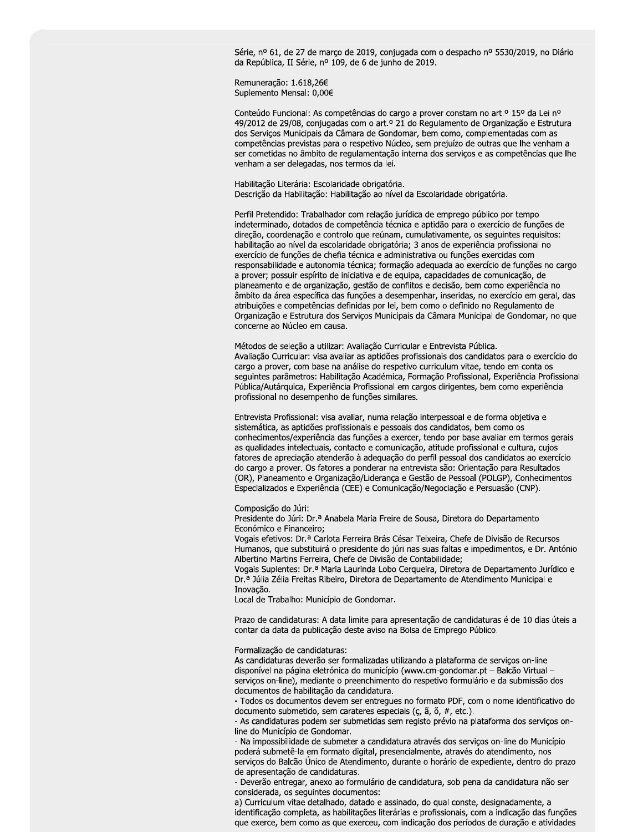Série, nº 61, de 27 de março de 2019, conjugada com o despacho nº 5530/2019, no Diário da República, II Série, nº 109, de 6 de junho de 2019.

Remuneração: 1.618,26€ Suplemento Mensal: 0,00€

Conteúdo Funcional: As competências do cargo a prover constam no art.<sup>o</sup> 15<sup>o</sup> da Lei n<sup>o</sup> 49/2012 de 29/08, conjugadas com o art.º 21 do Regulamento de Organização e Estrutura dos Serviços Municipais da Câmara de Gondomar, bem como, complementadas com as competências previstas para o respetivo Núcleo, sem prejuízo de outras que lhe venham a ser cometidas no âmbito de regulamentação interna dos serviços e as competências que lhe venham a ser delegadas, nos termos da lei.

Habilitação Literária: Escolaridade obrigatória. Descrição da Habilitação: Habilitação ao nível da Escolaridade obrigatória.

Perfil Pretendido: Trabalhador com relação jurídica de emprego público por tempo indeterminado, dotados de competência técnica e aptidão para o exercício de funções de direção, coordenação e controlo que reúnam, cumulativamente, os seguintes requisitos: habilitação ao nível da escolaridade obrigatória; 3 anos de experiência profissional no exercício de funções de chefia técnica e administrativa ou funções exercidas com responsabilidade e autonomia técnica; formação adequada ao exercício de funções no cargo a prover; possuir espírito de iniciativa e de equipa, capacidades de comunicação, de planeamento e de organização, gestão de conflitos e decisão, bem como experiência no âmbito da área específica das funções a desempenhar, inseridas, no exercício em geral, das atribuições e competências definidas por lei, bem como o definido no Regulamento de Organização e Estrutura dos Serviços Municipais da Câmara Municipal de Gondomar, no que concerne ao Núcleo em causa.

Métodos de seleção a utilizar: Avaliação Curricular e Entrevista Pública. Avaliação Curricular: visa avaliar as aptidões profissionais dos candidatos para o exercício do cargo a prover, com base na análise do respetivo curriculum vitae, tendo em conta os seguintes parâmetros: Habilitação Académica, Formação Profissional, Experiência Profissional Pública/Autárquica, Experiência Profissional em cargos dirigentes, bem como experiência profissional no desempenho de funções similares.

Entrevista Profissional: visa avaliar, numa relação interpessoal e de forma objetiva e sistemática, as aptidões profissionais e pessoais dos candidatos, bem como os conhecimentos/experiência das funções a exercer, tendo por base avaliar em termos gerais as qualidades intelectuais, contacto e comunicação, atitude profissional e cultura, cujos fatores de apreciação atenderão à adequação do perfil pessoal dos candidatos ao exercício do cargo a prover. Os fatores a ponderar na entrevista são: Orientação para Resultados (OR), Planeamento e Organização/Liderança e Gestão de Pessoal (POLGP), Conhecimentos Especializados e Experiência (CEE) e Comunicação/Negociação e Persuasão (CNP).

#### Composição do Júri:

Presidente do Júri: Dr.ª Anabela Maria Freire de Sousa, Diretora do Departamento Económico e Financeiro;

Vogais efetivos: Dr.ª Carlota Ferreira Brás César Teixeira, Chefe de Divisão de Recursos Humanos, que substituirá o presidente do júri nas suas faltas e impedimentos, e Dr. António Albertino Martins Ferreira, Chefe de Divisão de Contabilidade;

Vogais Suplentes: Dr.<sup>a</sup> Maria Laurinda Lobo Cerqueira, Diretora de Departamento Jurídico e Dr.ª Júlia Zélia Freitas Ribeiro, Diretora de Departamento de Atendimento Municipal e Inovacão.

Local de Trabalho: Município de Gondomar.

Prazo de candidaturas: A data limite para apresentação de candidaturas é de 10 dias úteis a contar da data da publicação deste aviso na Bolsa de Emprego Público.

#### Formalização de candidaturas:

As candidaturas deverão ser formalizadas utilizando a plataforma de serviços on-line disponível na página eletrónica do município (www.cm-gondomar.pt - Balcão Virtual serviços on-line), mediante o preenchimento do respetivo formulário e da submissão dos documentos de habilitação da candidatura.

- Todos os documentos devem ser entregues no formato PDF, com o nome identificativo do documento submetido, sem carateres especiais (ç, ã, õ, #, etc.).

- As candidaturas podem ser submetidas sem registo prévio na plataforma dos serviços online do Município de Gondomar.

- Na impossibilidade de submeter a candidatura através dos serviços on-line do Município poderá submetê-la em formato digital, presencialmente, através do atendimento, nos serviços do Balcão Único de Atendimento, durante o horário de expediente, dentro do prazo de apresentação de candidaturas.

- Deverão entregar, anexo ao formulário de candidatura, sob pena da candidatura não ser considerada, os seguintes documentos:

a) Curriculum vitae detalhado, datado e assinado, do qual conste, designadamente, a identificação completa, as habilitações literárias e profissionais, com a indicação das funções que exerce, bem como as que exerceu, com indicação dos períodos de duração e atividades